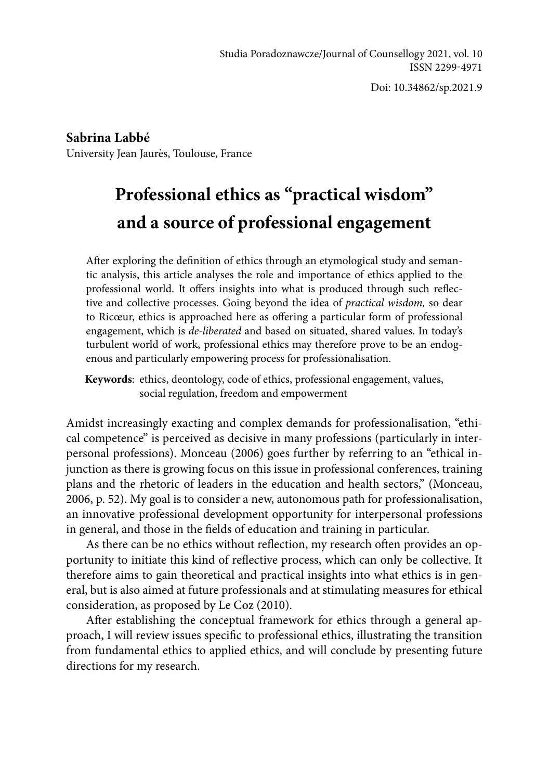Doi: 10.34862/sp.2021.9

**Sabrina Labbé** University Jean Jaurès, Toulouse, France

# **Professional ethics as "practical wisdom" and a source of professional engagement**

After exploring the definition of ethics through an etymological study and semantic analysis, this article analyses the role and importance of ethics applied to the professional world. It offers insights into what is produced through such reflective and collective processes. Going beyond the idea of *practical wisdom,* so dear to Ricœur, ethics is approached here as offering a particular form of professional engagement, which is *de-liberated* and based on situated, shared values. In today's turbulent world of work, professional ethics may therefore prove to be an endogenous and particularly empowering process for professionalisation.

**Keywords**: ethics, deontology, code of ethics, professional engagement, values, social regulation, freedom and empowerment

Amidst increasingly exacting and complex demands for professionalisation, "ethical competence" is perceived as decisive in many professions (particularly in interpersonal professions). Monceau (2006) goes further by referring to an "ethical injunction as there is growing focus on this issue in professional conferences, training plans and the rhetoric of leaders in the education and health sectors," (Monceau, 2006, p. 52). My goal is to consider a new, autonomous path for professionalisation, an innovative professional development opportunity for interpersonal professions in general, and those in the fields of education and training in particular.

As there can be no ethics without reflection, my research often provides an opportunity to initiate this kind of reflective process, which can only be collective. It therefore aims to gain theoretical and practical insights into what ethics is in general, but is also aimed at future professionals and at stimulating measures for ethical consideration, as proposed by Le Coz (2010).

After establishing the conceptual framework for ethics through a general approach, I will review issues specific to professional ethics, illustrating the transition from fundamental ethics to applied ethics, and will conclude by presenting future directions for my research.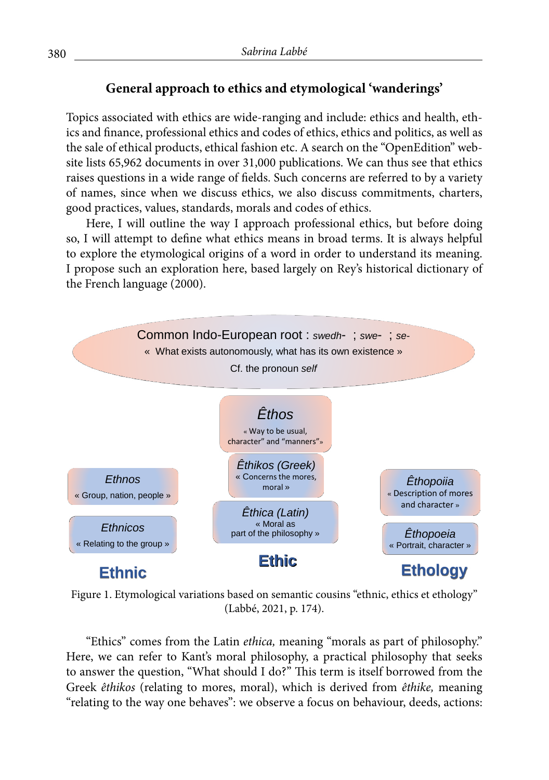## **General approach to ethics and etymological 'wanderings'**

Topics associated with ethics are wide-ranging and include: ethics and health, ethics and finance, professional ethics and codes of ethics, ethics and politics, as well as the sale of ethical products, ethical fashion etc. A search on the "OpenEdition" website lists 65,962 documents in over 31,000 publications. We can thus see that ethics raises questions in a wide range of fields. Such concerns are referred to by a variety of names, since when we discuss ethics, we also discuss commitments, charters, good practices, values, standards, morals and codes of ethics.

Here, I will outline the way I approach professional ethics, but before doing so, I will attempt to define what ethics means in broad terms. It is always helpful to explore the etymological origins of a word in order to understand its meaning. I propose such an exploration here, based largely on Rey's historical dictionary of the French language (2000).



Figure 1. Etymological variations based on semantic cousins "ethnic, ethics et ethology" (Labbé, 2021, p. 174).

"Ethics" comes from the Latin *ethica,* meaning "morals as part of philosophy." Here, we can refer to Kant's moral philosophy, a practical philosophy that seeks to answer the question, "What should I do?" This term is itself borrowed from the Greek *êthikos* (relating to mores, moral), which is derived from *êthike,* meaning "relating to the way one behaves": we observe a focus on behaviour, deeds, actions: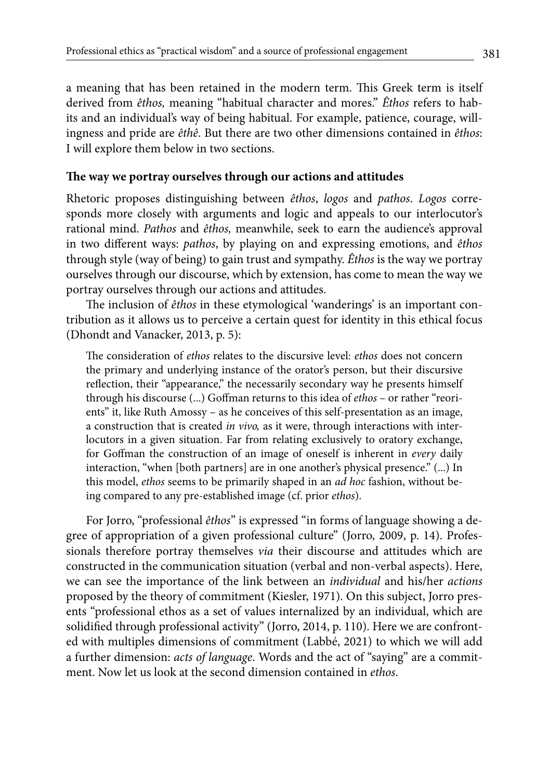a meaning that has been retained in the modern term. This Greek term is itself derived from *êthos,* meaning "habitual character and mores." *Êthos* refers to habits and an individual's way of being habitual. For example, patience, courage, willingness and pride are *êthê*. But there are two other dimensions contained in *êthos*: I will explore them below in two sections.

#### **The way we portray ourselves through our actions and attitudes**

Rhetoric proposes distinguishing between *êthos*, *logos* and *pathos*. *Logos* corresponds more closely with arguments and logic and appeals to our interlocutor's rational mind. *Pathos* and *êthos,* meanwhile, seek to earn the audience's approval in two different ways: *pathos*, by playing on and expressing emotions, and *êthos* through style (way of being) to gain trust and sympathy. *Êthos* is the way we portray ourselves through our discourse, which by extension, has come to mean the way we portray ourselves through our actions and attitudes.

The inclusion of *êthos* in these etymological 'wanderings' is an important contribution as it allows us to perceive a certain quest for identity in this ethical focus (Dhondt and Vanacker, 2013, p. 5):

The consideration of *ethos* relates to the discursive level: *ethos* does not concern the primary and underlying instance of the orator's person, but their discursive reflection, their "appearance," the necessarily secondary way he presents himself through his discourse (...) Goffman returns to this idea of *ethos* – or rather "reorients" it, like Ruth Amossy – as he conceives of this self-presentation as an image, a construction that is created *in vivo,* as it were, through interactions with interlocutors in a given situation. Far from relating exclusively to oratory exchange, for Goffman the construction of an image of oneself is inherent in *every* daily interaction, "when [both partners] are in one another's physical presence." (...) In this model, *ethos* seems to be primarily shaped in an *ad hoc* fashion, without being compared to any pre-established image (cf. prior *ethos*).

For Jorro, "professional *êthos*" is expressed "in forms of language showing a degree of appropriation of a given professional culture" (Jorro, 2009, p. 14). Professionals therefore portray themselves *via* their discourse and attitudes which are constructed in the communication situation (verbal and non-verbal aspects). Here, we can see the importance of the link between an *individual* and his/her *actions*  proposed by the theory of commitment (Kiesler, 1971)*.* On this subject, Jorro presents "professional ethos as a set of values internalized by an individual, which are solidified through professional activity" (Jorro, 2014, p. 110). Here we are confronted with multiples dimensions of commitment (Labbé, 2021) to which we will add a further dimension: *acts of language*. Words and the act of "saying" are a commitment. Now let us look at the second dimension contained in *ethos*.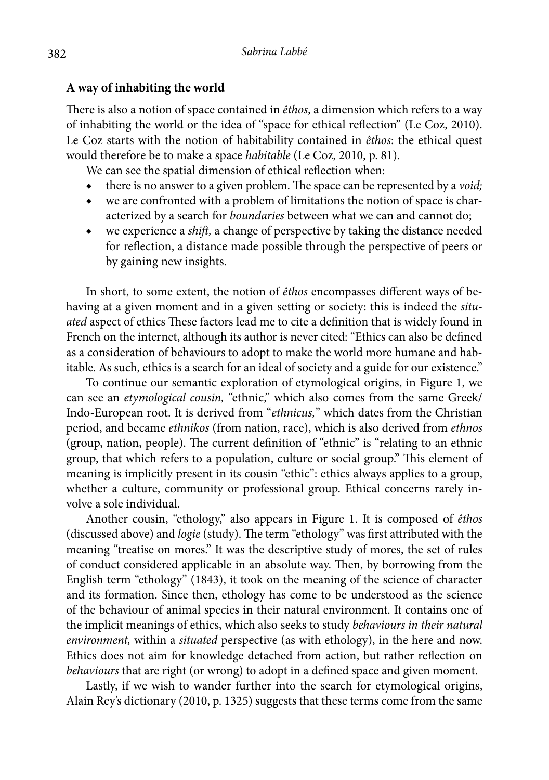### **A way of inhabiting the world**

There is also a notion of space contained in *êthos*, a dimension which refers to a way of inhabiting the world or the idea of "space for ethical reflection" (Le Coz, 2010). Le Coz starts with the notion of habitability contained in *êthos*: the ethical quest would therefore be to make a space *habitable* (Le Coz, 2010, p. 81).

We can see the spatial dimension of ethical reflection when:

- ◆ there is no answer to a given problem. The space can be represented by a *void;*
- ◆ we are confronted with a problem of limitations the notion of space is characterized by a search for *boundaries* between what we can and cannot do;
- we experience a *shift*, a change of perspective by taking the distance needed for reflection, a distance made possible through the perspective of peers or by gaining new insights.

In short, to some extent, the notion of *êthos* encompasses different ways of behaving at a given moment and in a given setting or society: this is indeed the *situated* aspect of ethics These factors lead me to cite a definition that is widely found in French on the internet, although its author is never cited: "Ethics can also be defined as a consideration of behaviours to adopt to make the world more humane and habitable. As such, ethics is a search for an ideal of society and a guide for our existence."

To continue our semantic exploration of etymological origins, in Figure 1, we can see an *etymological cousin,* "ethnic," which also comes from the same Greek/ Indo-European root. It is derived from "*ethnicus,*" which dates from the Christian period, and became *ethnikos* (from nation, race), which is also derived from *ethnos* (group, nation, people). The current definition of "ethnic" is "relating to an ethnic group, that which refers to a population, culture or social group." This element of meaning is implicitly present in its cousin "ethic": ethics always applies to a group, whether a culture, community or professional group. Ethical concerns rarely involve a sole individual.

Another cousin, "ethology," also appears in Figure 1. It is composed of *êthos* (discussed above) and *logie* (study). The term "ethology" was first attributed with the meaning "treatise on mores." It was the descriptive study of mores, the set of rules of conduct considered applicable in an absolute way. Then, by borrowing from the English term "ethology" (1843), it took on the meaning of the science of character and its formation. Since then, ethology has come to be understood as the science of the behaviour of animal species in their natural environment. It contains one of the implicit meanings of ethics, which also seeks to study *behaviours in their natural environment,* within a *situated* perspective (as with ethology), in the here and now. Ethics does not aim for knowledge detached from action, but rather reflection on *behaviours* that are right (or wrong) to adopt in a defined space and given moment.

Lastly, if we wish to wander further into the search for etymological origins, Alain Rey's dictionary (2010, p. 1325) suggests that these terms come from the same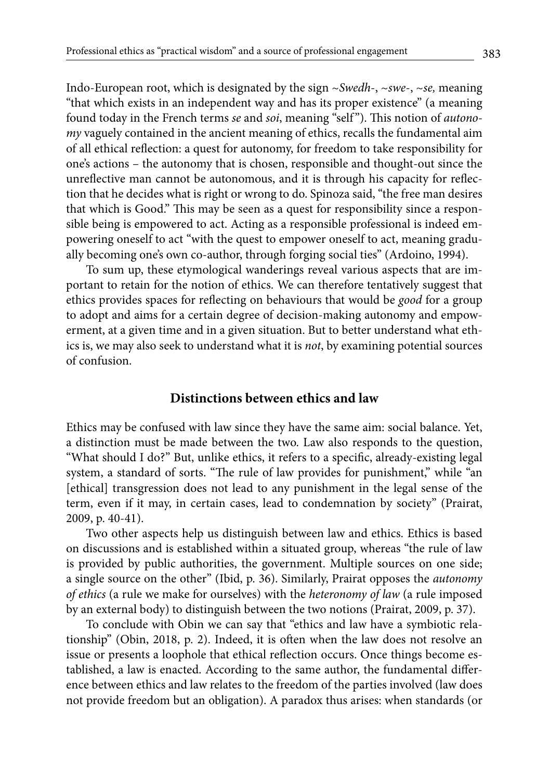Indo-European root, which is designated by the sign ~*Swedh*-, ~*swe*-, ~*se,* meaning "that which exists in an independent way and has its proper existence" (a meaning found today in the French terms *se* and *soi*, meaning "self "). This notion of *autonomy* vaguely contained in the ancient meaning of ethics, recalls the fundamental aim of all ethical reflection: a quest for autonomy, for freedom to take responsibility for one's actions – the autonomy that is chosen, responsible and thought-out since the unreflective man cannot be autonomous, and it is through his capacity for reflection that he decides what is right or wrong to do. Spinoza said, "the free man desires that which is Good." This may be seen as a quest for responsibility since a responsible being is empowered to act. Acting as a responsible professional is indeed empowering oneself to act "with the quest to empower oneself to act, meaning gradually becoming one's own co-author, through forging social ties" (Ardoino, 1994).

To sum up, these etymological wanderings reveal various aspects that are important to retain for the notion of ethics. We can therefore tentatively suggest that ethics provides spaces for reflecting on behaviours that would be *good* for a group to adopt and aims for a certain degree of decision-making autonomy and empowerment, at a given time and in a given situation. But to better understand what ethics is, we may also seek to understand what it is *not*, by examining potential sources of confusion.

#### **Distinctions between ethics and law**

Ethics may be confused with law since they have the same aim: social balance. Yet, a distinction must be made between the two. Law also responds to the question, "What should I do?" But, unlike ethics, it refers to a specific, already-existing legal system, a standard of sorts. "The rule of law provides for punishment," while "an [ethical] transgression does not lead to any punishment in the legal sense of the term, even if it may, in certain cases, lead to condemnation by society" (Prairat, 2009, p. 40-41).

Two other aspects help us distinguish between law and ethics. Ethics is based on discussions and is established within a situated group, whereas "the rule of law is provided by public authorities, the government. Multiple sources on one side; a single source on the other" (Ibid, p. 36). Similarly, Prairat opposes the *autonomy of ethics* (a rule we make for ourselves) with the *heteronomy of law* (a rule imposed by an external body) to distinguish between the two notions (Prairat, 2009, p. 37).

To conclude with Obin we can say that "ethics and law have a symbiotic relationship" (Obin, 2018, p. 2). Indeed, it is often when the law does not resolve an issue or presents a loophole that ethical reflection occurs. Once things become established, a law is enacted. According to the same author, the fundamental difference between ethics and law relates to the freedom of the parties involved (law does not provide freedom but an obligation). A paradox thus arises: when standards (or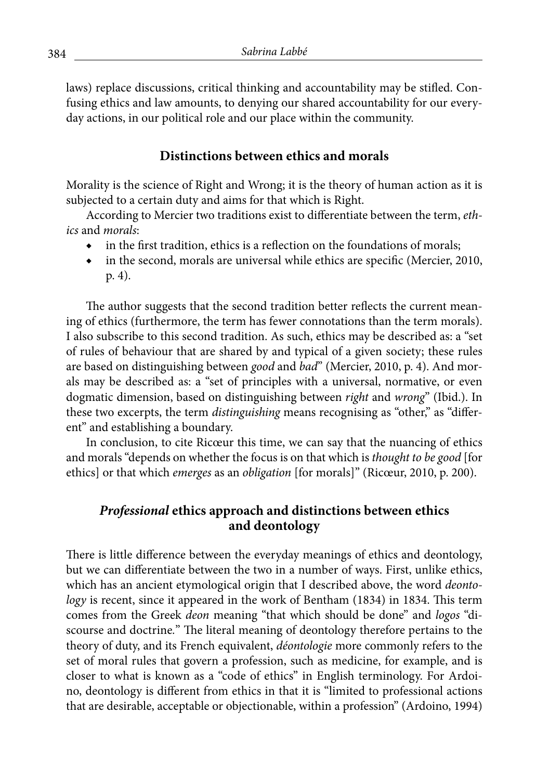laws) replace discussions, critical thinking and accountability may be stifled. Confusing ethics and law amounts, to denying our shared accountability for our everyday actions, in our political role and our place within the community.

## **Distinctions between ethics and morals**

Morality is the science of Right and Wrong; it is the theory of human action as it is subjected to a certain duty and aims for that which is Right.

According to Mercier two traditions exist to differentiate between the term, *ethics* and *morals*:

- in the first tradition, ethics is a reflection on the foundations of morals;
- ◆ in the second, morals are universal while ethics are specific (Mercier, 2010, p. 4).

The author suggests that the second tradition better reflects the current meaning of ethics (furthermore, the term has fewer connotations than the term morals). I also subscribe to this second tradition. As such, ethics may be described as: a "set of rules of behaviour that are shared by and typical of a given society; these rules are based on distinguishing between *good* and *bad*" (Mercier, 2010, p. 4). And morals may be described as: a "set of principles with a universal, normative, or even dogmatic dimension, based on distinguishing between *right* and *wrong*" (Ibid.). In these two excerpts, the term *distinguishing* means recognising as "other," as "different" and establishing a boundary.

In conclusion, to cite Ricœur this time, we can say that the nuancing of ethics and morals "depends on whether the focus is on that which is *thought to be good* [for ethics] or that which *emerges* as an *obligation* [for morals]" (Ricœur, 2010, p. 200).

## *Professional* **ethics approach and distinctions between ethics and deontology**

There is little difference between the everyday meanings of ethics and deontology, but we can differentiate between the two in a number of ways. First, unlike ethics, which has an ancient etymological origin that I described above, the word *deontology* is recent, since it appeared in the work of Bentham (1834) in 1834. This term comes from the Greek *deon* meaning "that which should be done" and *logos* "discourse and doctrine*.*" The literal meaning of deontology therefore pertains to the theory of duty, and its French equivalent, *déontologie* more commonly refers to the set of moral rules that govern a profession, such as medicine, for example, and is closer to what is known as a "code of ethics" in English terminology. For Ardoino, deontology is different from ethics in that it is "limited to professional actions that are desirable, acceptable or objectionable, within a profession" (Ardoino, 1994)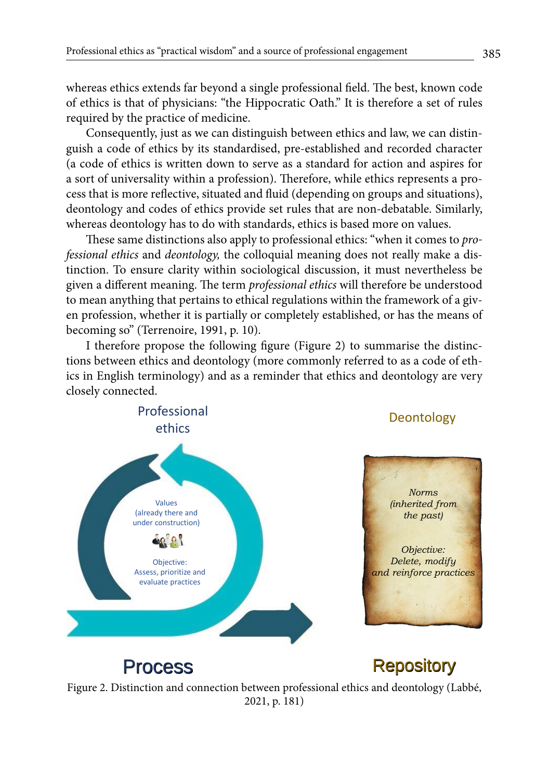whereas ethics extends far beyond a single professional field. The best, known code of ethics is that of physicians: "the Hippocratic Oath." It is therefore a set of rules required by the practice of medicine.

Consequently, just as we can distinguish between ethics and law, we can distinguish a code of ethics by its standardised, pre-established and recorded character (a code of ethics is written down to serve as a standard for action and aspires for a sort of universality within a profession). Therefore, while ethics represents a process that is more reflective, situated and fluid (depending on groups and situations), deontology and codes of ethics provide set rules that are non-debatable. Similarly, whereas deontology has to do with standards, ethics is based more on values.

These same distinctions also apply to professional ethics: "when it comes to *professional ethics* and *deontology,* the colloquial meaning does not really make a distinction. To ensure clarity within sociological discussion, it must nevertheless be given a different meaning. The term *professional ethics* will therefore be understood to mean anything that pertains to ethical regulations within the framework of a given profession, whether it is partially or completely established, or has the means of becoming so" (Terrenoire, 1991, p. 10).

I therefore propose the following figure (Figure 2) to summarise the distinctions between ethics and deontology (more commonly referred to as a code of ethics in English terminology) and as a reminder that ethics and deontology are very closely connected.



Figure 2. Distinction and connection between professional ethics and deontology (Labbé, 2021, p. 181)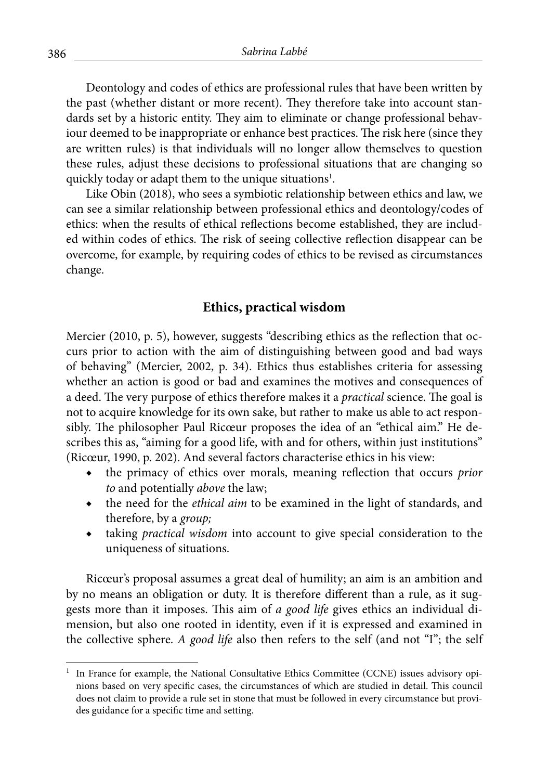Deontology and codes of ethics are professional rules that have been written by the past (whether distant or more recent). They therefore take into account standards set by a historic entity. They aim to eliminate or change professional behaviour deemed to be inappropriate or enhance best practices. The risk here (since they are written rules) is that individuals will no longer allow themselves to question these rules, adjust these decisions to professional situations that are changing so quickly today or adapt them to the unique situations<sup>1</sup>.

Like Obin (2018), who sees a symbiotic relationship between ethics and law, we can see a similar relationship between professional ethics and deontology/codes of ethics: when the results of ethical reflections become established, they are included within codes of ethics. The risk of seeing collective reflection disappear can be overcome, for example, by requiring codes of ethics to be revised as circumstances change.

#### **Ethics, practical wisdom**

Mercier (2010, p. 5), however, suggests "describing ethics as the reflection that occurs prior to action with the aim of distinguishing between good and bad ways of behaving" (Mercier, 2002, p. 34). Ethics thus establishes criteria for assessing whether an action is good or bad and examines the motives and consequences of a deed. The very purpose of ethics therefore makes it a *practical* science. The goal is not to acquire knowledge for its own sake, but rather to make us able to act responsibly. The philosopher Paul Ricœur proposes the idea of an "ethical aim." He describes this as, "aiming for a good life, with and for others, within just institutions" (Ricœur, 1990, p. 202). And several factors characterise ethics in his view:

- ◆ the primacy of ethics over morals, meaning reflection that occurs *prior to* and potentially *above* the law;
- ◆ the need for the *ethical aim* to be examined in the light of standards, and therefore, by a *group;*
- taking *practical wisdom* into account to give special consideration to the uniqueness of situations.

Ricœur's proposal assumes a great deal of humility; an aim is an ambition and by no means an obligation or duty. It is therefore different than a rule, as it suggests more than it imposes. This aim of *a good life* gives ethics an individual dimension, but also one rooted in identity, even if it is expressed and examined in the collective sphere. *A good life* also then refers to the self (and not "I"; the self

<sup>1</sup> In France for example, the National Consultative Ethics Committee (CCNE) issues advisory opinions based on very specific cases, the circumstances of which are studied in detail. This council does not claim to provide a rule set in stone that must be followed in every circumstance but provides guidance for a specific time and setting.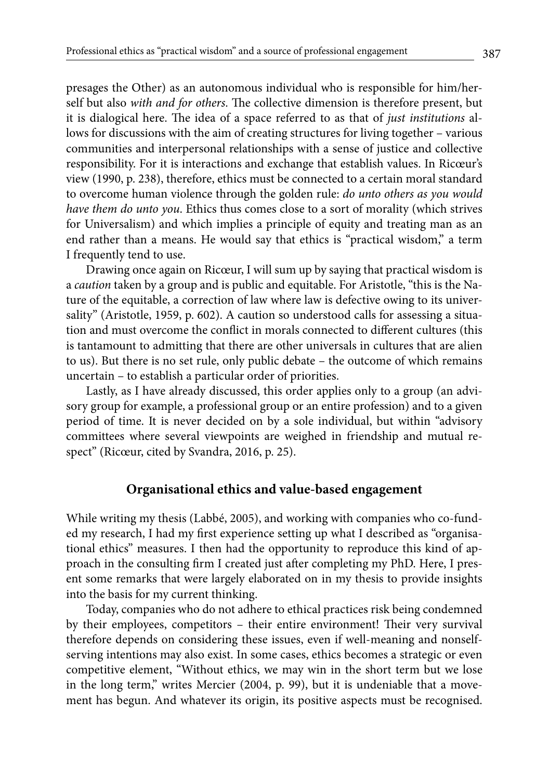presages the Other) as an autonomous individual who is responsible for him/herself but also *with and for others*. The collective dimension is therefore present, but it is dialogical here. The idea of a space referred to as that of *just institutions* allows for discussions with the aim of creating structures for living together – various communities and interpersonal relationships with a sense of justice and collective responsibility. For it is interactions and exchange that establish values. In Ricœur's view (1990, p. 238), therefore, ethics must be connected to a certain moral standard to overcome human violence through the golden rule: *do unto others as you would have them do unto you*. Ethics thus comes close to a sort of morality (which strives for Universalism) and which implies a principle of equity and treating man as an end rather than a means. He would say that ethics is "practical wisdom," a term I frequently tend to use.

Drawing once again on Ricœur, I will sum up by saying that practical wisdom is a *caution* taken by a group and is public and equitable. For Aristotle, "this is the Nature of the equitable, a correction of law where law is defective owing to its universality" (Aristotle, 1959, p. 602). A caution so understood calls for assessing a situation and must overcome the conflict in morals connected to different cultures (this is tantamount to admitting that there are other universals in cultures that are alien to us). But there is no set rule, only public debate – the outcome of which remains uncertain – to establish a particular order of priorities.

Lastly, as I have already discussed, this order applies only to a group (an advisory group for example, a professional group or an entire profession) and to a given period of time. It is never decided on by a sole individual, but within "advisory committees where several viewpoints are weighed in friendship and mutual respect" (Ricœur, cited by Svandra, 2016, p. 25).

## **Organisational ethics and value-based engagement**

While writing my thesis (Labbé, 2005), and working with companies who co-funded my research, I had my first experience setting up what I described as "organisational ethics" measures. I then had the opportunity to reproduce this kind of approach in the consulting firm I created just after completing my PhD. Here, I present some remarks that were largely elaborated on in my thesis to provide insights into the basis for my current thinking.

Today, companies who do not adhere to ethical practices risk being condemned by their employees, competitors – their entire environment! Their very survival therefore depends on considering these issues, even if well-meaning and nonselfserving intentions may also exist. In some cases, ethics becomes a strategic or even competitive element, "Without ethics, we may win in the short term but we lose in the long term," writes Mercier (2004, p. 99), but it is undeniable that a movement has begun. And whatever its origin, its positive aspects must be recognised.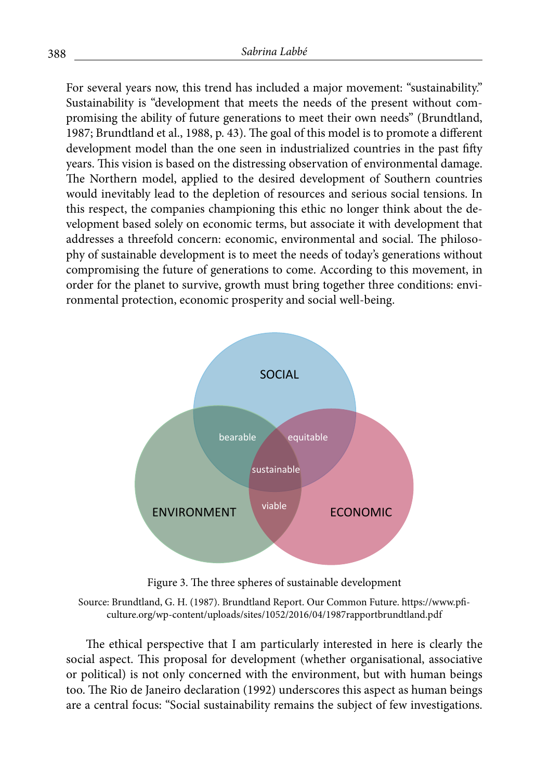For several years now, this trend has included a major movement: "sustainability." Sustainability is "development that meets the needs of the present without compromising the ability of future generations to meet their own needs" (Brundtland, 1987; Brundtland et al., 1988, p. 43). The goal of this model is to promote a different development model than the one seen in industrialized countries in the past fifty years. This vision is based on the distressing observation of environmental damage. The Northern model, applied to the desired development of Southern countries would inevitably lead to the depletion of resources and serious social tensions. In this respect, the companies championing this ethic no longer think about the development based solely on economic terms, but associate it with development that addresses a threefold concern: economic, environmental and social. The philosophy of sustainable development is to meet the needs of today's generations without compromising the future of generations to come. According to this movement, in order for the planet to survive, growth must bring together three conditions: environmental protection, economic prosperity and social well-being.



Figure 3. The three spheres of sustainable development

Source: Brundtland, G. H. (1987). Brundtland Report. Our Common Future. https://www.pficulture.org/wp-content/uploads/sites/1052/2016/04/1987rapportbrundtland.pdf

The ethical perspective that I am particularly interested in here is clearly the social aspect. This proposal for development (whether organisational, associative or political) is not only concerned with the environment, but with human beings too. The Rio de Janeiro declaration (1992) underscores this aspect as human beings are a central focus: "Social sustainability remains the subject of few investigations.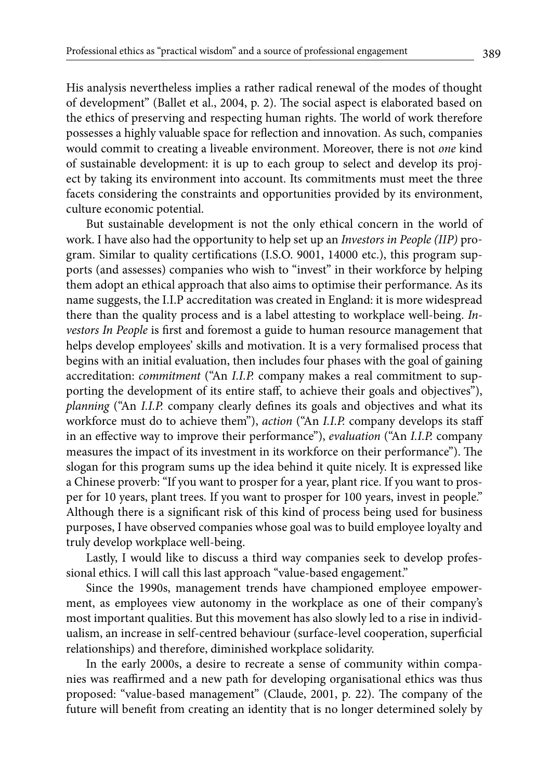His analysis nevertheless implies a rather radical renewal of the modes of thought of development" (Ballet et al., 2004, p. 2). The social aspect is elaborated based on the ethics of preserving and respecting human rights. The world of work therefore possesses a highly valuable space for reflection and innovation. As such, companies would commit to creating a liveable environment. Moreover, there is not *one* kind of sustainable development: it is up to each group to select and develop its project by taking its environment into account. Its commitments must meet the three facets considering the constraints and opportunities provided by its environment, culture economic potential.

But sustainable development is not the only ethical concern in the world of work. I have also had the opportunity to help set up an *Investors in People (IIP)* program. Similar to quality certifications (I.S.O. 9001, 14000 etc.), this program supports (and assesses) companies who wish to "invest" in their workforce by helping them adopt an ethical approach that also aims to optimise their performance. As its name suggests, the I.I.P accreditation was created in England: it is more widespread there than the quality process and is a label attesting to workplace well-being. *Investors In People* is first and foremost a guide to human resource management that helps develop employees' skills and motivation. It is a very formalised process that begins with an initial evaluation, then includes four phases with the goal of gaining accreditation: *commitment* ("An *I.I.P.* company makes a real commitment to supporting the development of its entire staff, to achieve their goals and objectives"), *planning* ("An *I.I.P.* company clearly defines its goals and objectives and what its workforce must do to achieve them"), *action* ("An *I.I.P.* company develops its staff in an effective way to improve their performance"), *evaluation* ("An *I.I.P.* company measures the impact of its investment in its workforce on their performance"). The slogan for this program sums up the idea behind it quite nicely. It is expressed like a Chinese proverb: "If you want to prosper for a year, plant rice. If you want to prosper for 10 years, plant trees. If you want to prosper for 100 years, invest in people." Although there is a significant risk of this kind of process being used for business purposes, I have observed companies whose goal was to build employee loyalty and truly develop workplace well-being.

Lastly, I would like to discuss a third way companies seek to develop professional ethics. I will call this last approach "value-based engagement."

Since the 1990s, management trends have championed employee empowerment, as employees view autonomy in the workplace as one of their company's most important qualities. But this movement has also slowly led to a rise in individualism, an increase in self-centred behaviour (surface-level cooperation, superficial relationships) and therefore, diminished workplace solidarity.

In the early 2000s, a desire to recreate a sense of community within companies was reaffirmed and a new path for developing organisational ethics was thus proposed: "value-based management" (Claude, 2001, p. 22). The company of the future will benefit from creating an identity that is no longer determined solely by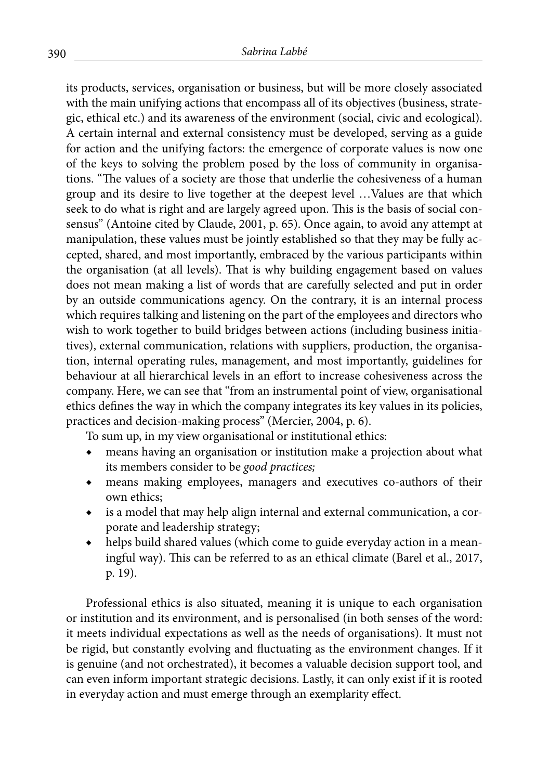its products, services, organisation or business, but will be more closely associated with the main unifying actions that encompass all of its objectives (business, strategic, ethical etc.) and its awareness of the environment (social, civic and ecological). A certain internal and external consistency must be developed, serving as a guide for action and the unifying factors: the emergence of corporate values is now one of the keys to solving the problem posed by the loss of community in organisations. "The values of a society are those that underlie the cohesiveness of a human group and its desire to live together at the deepest level …Values are that which seek to do what is right and are largely agreed upon. This is the basis of social consensus" (Antoine cited by Claude, 2001, p. 65). Once again, to avoid any attempt at manipulation, these values must be jointly established so that they may be fully accepted, shared, and most importantly, embraced by the various participants within the organisation (at all levels). That is why building engagement based on values does not mean making a list of words that are carefully selected and put in order by an outside communications agency. On the contrary, it is an internal process which requires talking and listening on the part of the employees and directors who wish to work together to build bridges between actions (including business initiatives), external communication, relations with suppliers, production, the organisation, internal operating rules, management, and most importantly, guidelines for behaviour at all hierarchical levels in an effort to increase cohesiveness across the company. Here, we can see that "from an instrumental point of view, organisational ethics defines the way in which the company integrates its key values in its policies, practices and decision-making process" (Mercier, 2004, p. 6).

To sum up, in my view organisational or institutional ethics:

- ◆ means having an organisation or institution make a projection about what its members consider to be *good practices;*
- means making employees, managers and executives co-authors of their own ethics;
- is a model that may help align internal and external communication, a corporate and leadership strategy;
- helps build shared values (which come to guide everyday action in a meaningful way). This can be referred to as an ethical climate (Barel et al., 2017, p. 19).

Professional ethics is also situated, meaning it is unique to each organisation or institution and its environment, and is personalised (in both senses of the word: it meets individual expectations as well as the needs of organisations). It must not be rigid, but constantly evolving and fluctuating as the environment changes. If it is genuine (and not orchestrated), it becomes a valuable decision support tool, and can even inform important strategic decisions. Lastly, it can only exist if it is rooted in everyday action and must emerge through an exemplarity effect.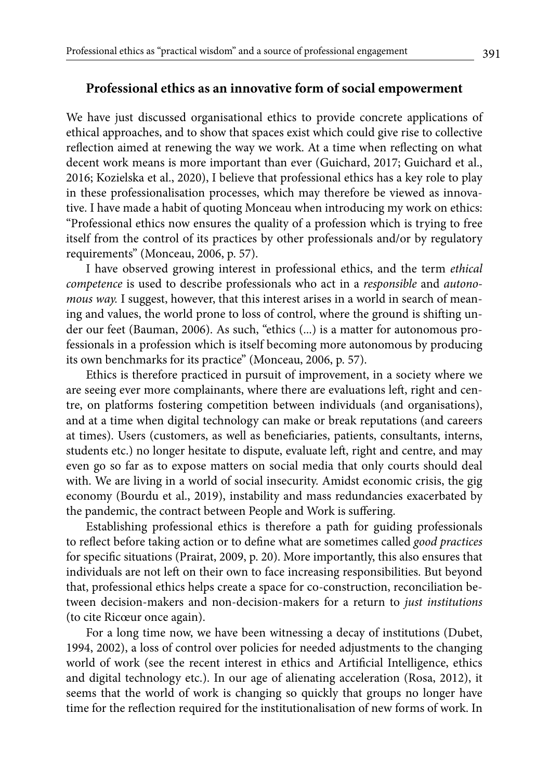#### **Professional ethics as an innovative form of social empowerment**

We have just discussed organisational ethics to provide concrete applications of ethical approaches, and to show that spaces exist which could give rise to collective reflection aimed at renewing the way we work. At a time when reflecting on what decent work means is more important than ever (Guichard, 2017; Guichard et al., 2016; Kozielska et al., 2020), I believe that professional ethics has a key role to play in these professionalisation processes, which may therefore be viewed as innovative. I have made a habit of quoting Monceau when introducing my work on ethics: "Professional ethics now ensures the quality of a profession which is trying to free itself from the control of its practices by other professionals and/or by regulatory requirements" (Monceau, 2006, p. 57).

I have observed growing interest in professional ethics, and the term *ethical competence* is used to describe professionals who act in a *responsible* and *autonomous way.* I suggest, however, that this interest arises in a world in search of meaning and values, the world prone to loss of control, where the ground is shifting under our feet (Bauman, 2006). As such, "ethics (...) is a matter for autonomous professionals in a profession which is itself becoming more autonomous by producing its own benchmarks for its practice" (Monceau, 2006, p. 57).

Ethics is therefore practiced in pursuit of improvement, in a society where we are seeing ever more complainants, where there are evaluations left, right and centre, on platforms fostering competition between individuals (and organisations), and at a time when digital technology can make or break reputations (and careers at times). Users (customers, as well as beneficiaries, patients, consultants, interns, students etc.) no longer hesitate to dispute, evaluate left, right and centre, and may even go so far as to expose matters on social media that only courts should deal with. We are living in a world of social insecurity. Amidst economic crisis, the gig economy (Bourdu et al., 2019), instability and mass redundancies exacerbated by the pandemic, the contract between People and Work is suffering.

Establishing professional ethics is therefore a path for guiding professionals to reflect before taking action or to define what are sometimes called *good practices*  for specific situations (Prairat, 2009, p. 20). More importantly, this also ensures that individuals are not left on their own to face increasing responsibilities. But beyond that, professional ethics helps create a space for co-construction, reconciliation between decision-makers and non-decision-makers for a return to *just institutions* (to cite Ricœur once again).

For a long time now, we have been witnessing a decay of institutions (Dubet, 1994, 2002), a loss of control over policies for needed adjustments to the changing world of work (see the recent interest in ethics and Artificial Intelligence, ethics and digital technology etc.). In our age of alienating acceleration (Rosa, 2012), it seems that the world of work is changing so quickly that groups no longer have time for the reflection required for the institutionalisation of new forms of work. In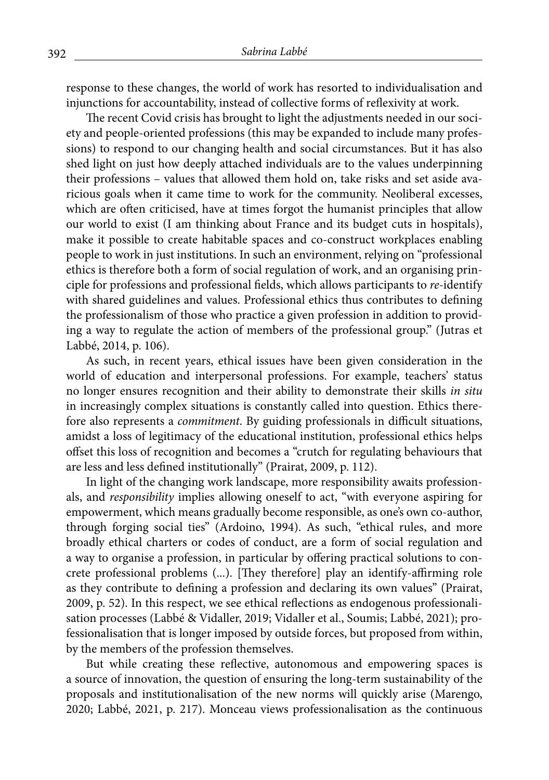response to these changes, the world of work has resorted to individualisation and injunctions for accountability, instead of collective forms of reflexivity at work.

The recent Covid crisis has brought to light the adjustments needed in our society and people-oriented professions (this may be expanded to include many professions) to respond to our changing health and social circumstances. But it has also shed light on just how deeply attached individuals are to the values underpinning their professions – values that allowed them hold on, take risks and set aside avaricious goals when it came time to work for the community. Neoliberal excesses, which are often criticised, have at times forgot the humanist principles that allow our world to exist (I am thinking about France and its budget cuts in hospitals), make it possible to create habitable spaces and co-construct workplaces enabling people to work in just institutions. In such an environment, relying on "professional ethics is therefore both a form of social regulation of work, and an organising principle for professions and professional fields, which allows participants to *re-*identify with shared guidelines and values. Professional ethics thus contributes to defining the professionalism of those who practice a given profession in addition to providing a way to regulate the action of members of the professional group." (Jutras et Labbé, 2014, p. 106).

As such, in recent years, ethical issues have been given consideration in the world of education and interpersonal professions. For example, teachers' status no longer ensures recognition and their ability to demonstrate their skills *in situ* in increasingly complex situations is constantly called into question. Ethics therefore also represents a *commitment*. By guiding professionals in difficult situations, amidst a loss of legitimacy of the educational institution, professional ethics helps offset this loss of recognition and becomes a "crutch for regulating behaviours that are less and less defined institutionally" (Prairat, 2009, p. 112).

In light of the changing work landscape, more responsibility awaits professionals, and *responsibility* implies allowing oneself to act, "with everyone aspiring for empowerment, which means gradually become responsible, as one's own co-author, through forging social ties" (Ardoino, 1994). As such, "ethical rules, and more broadly ethical charters or codes of conduct, are a form of social regulation and a way to organise a profession, in particular by offering practical solutions to concrete professional problems (...). [They therefore] play an identify-affirming role as they contribute to defining a profession and declaring its own values" (Prairat, 2009, p. 52). In this respect, we see ethical reflections as endogenous professionalisation processes (Labbé & Vidaller, 2019; Vidaller et al., Soumis; Labbé, 2021); professionalisation that is longer imposed by outside forces, but proposed from within, by the members of the profession themselves.

But while creating these reflective, autonomous and empowering spaces is a source of innovation, the question of ensuring the long-term sustainability of the proposals and institutionalisation of the new norms will quickly arise (Marengo, 2020; Labbé, 2021, p. 217). Monceau views professionalisation as the continuous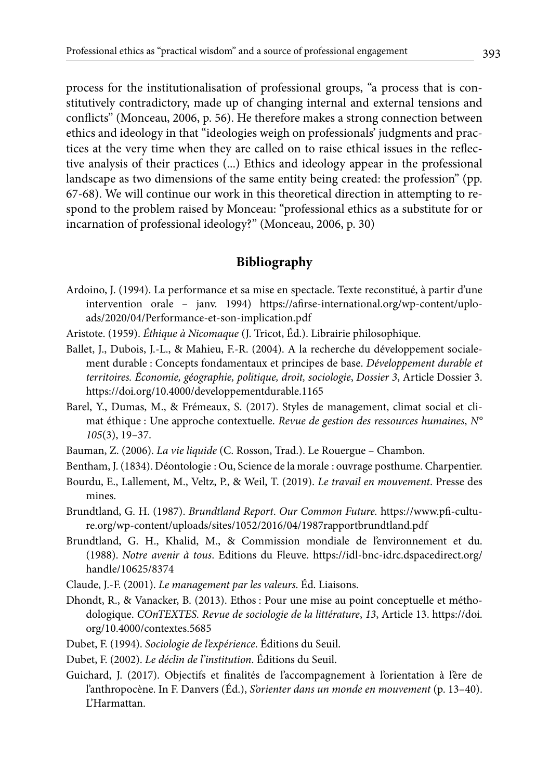process for the institutionalisation of professional groups, "a process that is constitutively contradictory, made up of changing internal and external tensions and conflicts" (Monceau, 2006, p. 56). He therefore makes a strong connection between ethics and ideology in that "ideologies weigh on professionals' judgments and practices at the very time when they are called on to raise ethical issues in the reflective analysis of their practices (...) Ethics and ideology appear in the professional landscape as two dimensions of the same entity being created: the profession" (pp. 67-68). We will continue our work in this theoretical direction in attempting to respond to the problem raised by Monceau: "professional ethics as a substitute for or incarnation of professional ideology?" (Monceau, 2006, p. 30)

## **Bibliography**

- Ardoino, J. (1994). La performance et sa mise en spectacle. Texte reconstitué, à partir d'une intervention orale – janv. 1994) https://afirse-international.org/wp-content/uploads/2020/04/Performance-et-son-implication.pdf
- Aristote. (1959). *Éthique à Nicomaque* (J. Tricot, Éd.). Librairie philosophique.
- Ballet, J., Dubois, J.-L., & Mahieu, F.-R. (2004). A la recherche du développement socialement durable : Concepts fondamentaux et principes de base. *Développement durable et territoires. Économie, géographie, politique, droit, sociologie*, *Dossier 3*, Article Dossier 3. https://doi.org/10.4000/developpementdurable.1165
- Barel, Y., Dumas, M., & Frémeaux, S. (2017). Styles de management, climat social et climat éthique : Une approche contextuelle. *Revue de gestion des ressources humaines*, *N° 105*(3), 19–37.
- Bauman, Z. (2006). *La vie liquide* (C. Rosson, Trad.). Le Rouergue Chambon.
- Bentham, J. (1834). Déontologie : Ou, Science de la morale : ouvrage posthume. Charpentier.
- Bourdu, E., Lallement, M., Veltz, P., & Weil, T. (2019). *Le travail en mouvement*. Presse des mines.
- Brundtland, G. H. (1987). *Brundtland Report*. *Our Common Future.* https://www.pfi-culture.org/wp-content/uploads/sites/1052/2016/04/1987rapportbrundtland.pdf
- Brundtland, G. H., Khalid, M., & Commission mondiale de l'environnement et du. (1988). *Notre avenir à tous*. Editions du Fleuve. https://idl-bnc-idrc.dspacedirect.org/ handle/10625/8374
- Claude, J.-F. (2001). *Le management par les valeurs*. Éd. Liaisons.
- Dhondt, R., & Vanacker, B. (2013). Ethos : Pour une mise au point conceptuelle et méthodologique. *COnTEXTES. Revue de sociologie de la littérature*, *13*, Article 13. https://doi. org/10.4000/contextes.5685
- Dubet, F. (1994). *Sociologie de l'expérience*. Éditions du Seuil.
- Dubet, F. (2002). *Le déclin de l'institution*. Éditions du Seuil.
- Guichard, J. (2017). Objectifs et finalités de l'accompagnement à l'orientation à l'ère de l'anthropocène. In F. Danvers (Éd.), *S'orienter dans un monde en mouvement* (p. 13–40). L'Harmattan.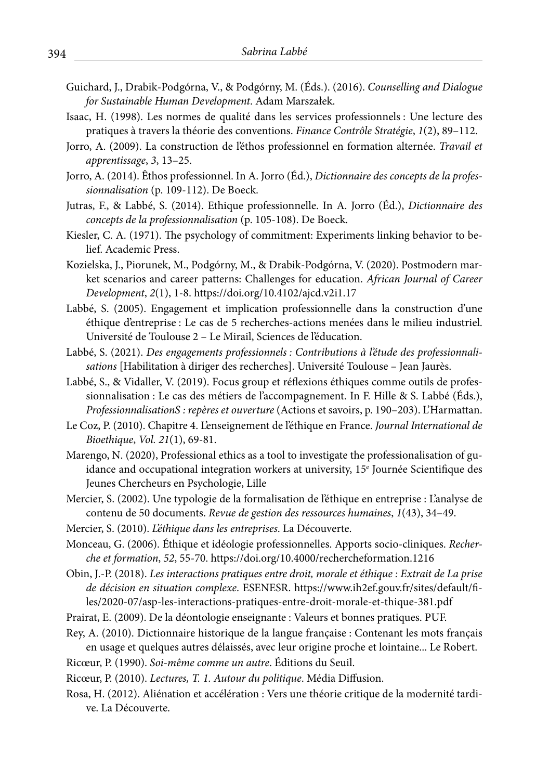- Guichard, J., Drabik-Podgórna, V., & Podgórny, M. (Éds.). (2016). *Counselling and Dialogue for Sustainable Human Development*. Adam Marszałek.
- Isaac, H. (1998). Les normes de qualité dans les services professionnels : Une lecture des pratiques à travers la théorie des conventions. *Finance Contrôle Stratégie*, *1*(2), 89–112.
- Jorro, A. (2009). La construction de l'éthos professionnel en formation alternée. *Travail et apprentissage*, *3*, 13–25.
- Jorro, A. (2014). Êthos professionnel. In A. Jorro (Éd.), *Dictionnaire des concepts de la professionnalisation* (p. 109-112). De Boeck.
- Jutras, F., & Labbé, S. (2014). Ethique professionnelle. In A. Jorro (Éd.), *Dictionnaire des concepts de la professionnalisation* (p. 105-108). De Boeck.
- Kiesler, C. A. (1971). The psychology of commitment: Experiments linking behavior to belief. Academic Press.
- Kozielska, J., Piorunek, M., Podgórny, M., & Drabik-Podgórna, V. (2020). Postmodern market scenarios and career patterns: Challenges for education. *African Journal of Career Development*, *2*(1), 1-8. https://doi.org/10.4102/ajcd.v2i1.17
- Labbé, S. (2005). Engagement et implication professionnelle dans la construction d'une éthique d'entreprise : Le cas de 5 recherches-actions menées dans le milieu industriel. Université de Toulouse 2 – Le Mirail, Sciences de l'éducation.
- Labbé, S. (2021). *Des engagements professionnels : Contributions à l'étude des professionnalisations* [Habilitation à diriger des recherches]. Université Toulouse – Jean Jaurès.
- Labbé, S., & Vidaller, V. (2019). Focus group et réflexions éthiques comme outils de professionnalisation : Le cas des métiers de l'accompagnement. In F. Hille & S. Labbé (Éds.), *ProfessionnalisationS : repères et ouverture* (Actions et savoirs, p. 190–203). L'Harmattan.
- Le Coz, P. (2010). Chapitre 4. L'enseignement de l'éthique en France. *Journal International de Bioethique*, *Vol. 21*(1), 69-81.
- Marengo, N. (2020), Professional ethics as a tool to investigate the professionalisation of guidance and occupational integration workers at university, 15e Journée Scientifique des Jeunes Chercheurs en Psychologie, Lille
- Mercier, S. (2002). Une typologie de la formalisation de l'éthique en entreprise : L'analyse de contenu de 50 documents. *Revue de gestion des ressources humaines*, *1*(43), 34–49.
- Mercier, S. (2010). *L'éthique dans les entreprises*. La Découverte.
- Monceau, G. (2006). Éthique et idéologie professionnelles. Apports socio-cliniques. *Recherche et formation*, *52*, 55-70. https://doi.org/10.4000/rechercheformation.1216
- Obin, J.-P. (2018). *Les interactions pratiques entre droit, morale et éthique : Extrait de La prise de décision en situation complexe*. ESENESR. https://www.ih2ef.gouv.fr/sites/default/files/2020-07/asp-les-interactions-pratiques-entre-droit-morale-et-thique-381.pdf
- Prairat, E. (2009). De la déontologie enseignante : Valeurs et bonnes pratiques. PUF.
- Rey, A. (2010). Dictionnaire historique de la langue française : Contenant les mots français en usage et quelques autres délaissés, avec leur origine proche et lointaine... Le Robert.
- Ricœur, P. (1990). *Soi-même comme un autre*. Éditions du Seuil.
- Ricœur, P. (2010). *Lectures, T. 1. Autour du politique*. Média Diffusion.
- Rosa, H. (2012). Aliénation et accélération : Vers une théorie critique de la modernité tardive. La Découverte.